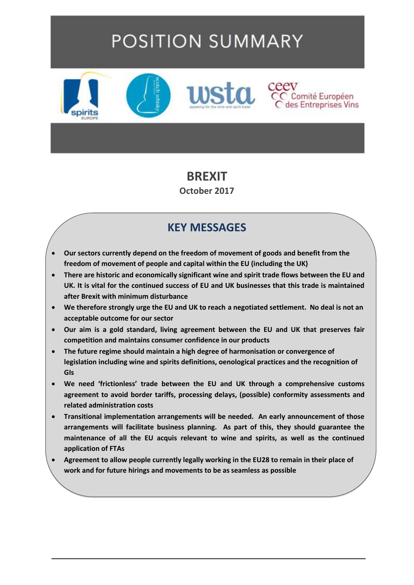# **POSITION SUMMARY**



#### **BREXIT**

**October 2017**

## **KEY MESSAGES**

- **Our sectors currently depend on the freedom of movement of goods and benefit from the freedom of movement of people and capital within the EU (including the UK)**
- **There are historic and economically significant wine and spirit trade flows between the EU and UK. It is vital for the continued success of EU and UK businesses that this trade is maintained after Brexit with minimum disturbance**
- **We therefore strongly urge the EU and UK to reach a negotiated settlement. No deal is not an acceptable outcome for our sector**
- **Our aim is a gold standard, living agreement between the EU and UK that preserves fair competition and maintains consumer confidence in our products**
- **The future regime should maintain a high degree of harmonisation or convergence of legislation including wine and spirits definitions, oenological practices and the recognition of GIs**
- **We need 'frictionless' trade between the EU and UK through a comprehensive customs agreement to avoid border tariffs, processing delays, (possible) conformity assessments and related administration costs**
- **Transitional implementation arrangements will be needed. An early announcement of those arrangements will facilitate business planning. As part of this, they should guarantee the maintenance of all the EU acquis relevant to wine and spirits, as well as the continued application of FTAs**
- **Agreement to allow people currently legally working in the EU28 to remain in their place of work and for future hirings and movements to be as seamless as possible**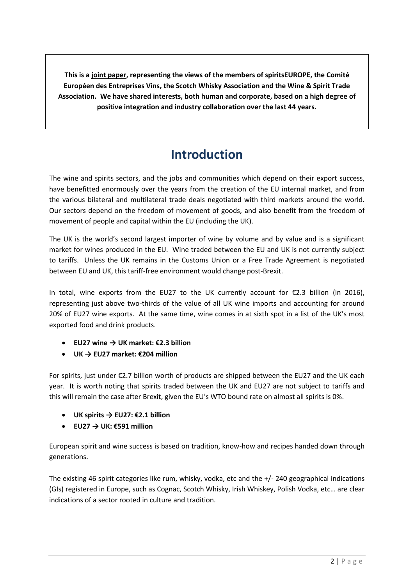**This is a joint paper, representing the views of the members of spiritsEUROPE, the Comité Européen des Entreprises Vins, the Scotch Whisky Association and the Wine & Spirit Trade Association. We have shared interests, both human and corporate, based on a high degree of positive integration and industry collaboration over the last 44 years.**

# **Introduction**

The wine and spirits sectors, and the jobs and communities which depend on their export success, have benefitted enormously over the years from the creation of the EU internal market, and from the various bilateral and multilateral trade deals negotiated with third markets around the world. Our sectors depend on the freedom of movement of goods, and also benefit from the freedom of movement of people and capital within the EU (including the UK).

The UK is the world's second largest importer of wine by volume and by value and is a significant market for wines produced in the EU. Wine traded between the EU and UK is not currently subject to tariffs. Unless the UK remains in the Customs Union or a Free Trade Agreement is negotiated between EU and UK, this tariff-free environment would change post-Brexit.

In total, wine exports from the EU27 to the UK currently account for  $\epsilon$ 2.3 billion (in 2016), representing just above two-thirds of the value of all UK wine imports and accounting for around 20% of EU27 wine exports. At the same time, wine comes in at sixth spot in a list of the UK's most exported food and drink products.

- **EU27 wine → UK market: €2.3 billion**
- **UK → EU27 market: €204 million**

For spirits, just under €2.7 billion worth of products are shipped between the EU27 and the UK each year. It is worth noting that spirits traded between the UK and EU27 are not subject to tariffs and this will remain the case after Brexit, given the EU's WTO bound rate on almost all spirits is 0%.

- **UK spirits → EU27: €2.1 billion**
- **EU27 → UK: €591 million**

European spirit and wine success is based on tradition, know-how and recipes handed down through generations.

The existing 46 spirit categories like rum, whisky, vodka, etc and the +/- 240 geographical indications (GIs) registered in Europe, such as Cognac, Scotch Whisky, Irish Whiskey, Polish Vodka, etc… are clear indications of a sector rooted in culture and tradition.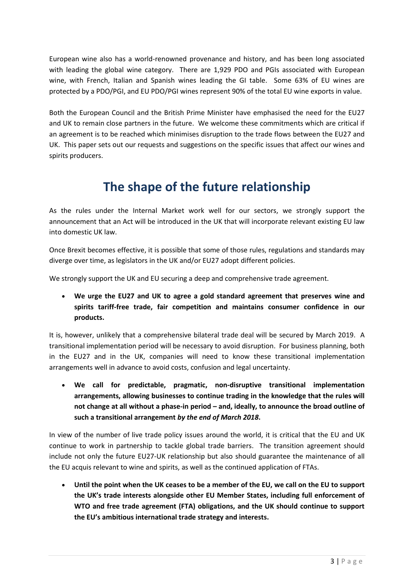European wine also has a world-renowned provenance and history, and has been long associated with leading the global wine category. There are 1,929 PDO and PGIs associated with European wine, with French, Italian and Spanish wines leading the GI table. Some 63% of EU wines are protected by a PDO/PGI, and EU PDO/PGI wines represent 90% of the total EU wine exports in value.

Both the European Council and the British Prime Minister have emphasised the need for the EU27 and UK to remain close partners in the future. We welcome these commitments which are critical if an agreement is to be reached which minimises disruption to the trade flows between the EU27 and UK. This paper sets out our requests and suggestions on the specific issues that affect our wines and spirits producers.

## **The shape of the future relationship**

As the rules under the Internal Market work well for our sectors, we strongly support the announcement that an Act will be introduced in the UK that will incorporate relevant existing EU law into domestic UK law.

Once Brexit becomes effective, it is possible that some of those rules, regulations and standards may diverge over time, as legislators in the UK and/or EU27 adopt different policies.

We strongly support the UK and EU securing a deep and comprehensive trade agreement.

• **We urge the EU27 and UK to agree a gold standard agreement that preserves wine and spirits tariff-free trade, fair competition and maintains consumer confidence in our products.**

It is, however, unlikely that a comprehensive bilateral trade deal will be secured by March 2019. A transitional implementation period will be necessary to avoid disruption. For business planning, both in the EU27 and in the UK, companies will need to know these transitional implementation arrangements well in advance to avoid costs, confusion and legal uncertainty.

• **We call for predictable, pragmatic, non-disruptive transitional implementation arrangements, allowing businesses to continue trading in the knowledge that the rules will not change at all without a phase-in period – and, ideally, to announce the broad outline of such a transitional arrangement** *by the end of March 2018***.**

In view of the number of live trade policy issues around the world, it is critical that the EU and UK continue to work in partnership to tackle global trade barriers. The transition agreement should include not only the future EU27-UK relationship but also should guarantee the maintenance of all the EU acquis relevant to wine and spirits, as well as the continued application of FTAs.

• **Until the point when the UK ceases to be a member of the EU, we call on the EU to support the UK's trade interests alongside other EU Member States, including full enforcement of WTO and free trade agreement (FTA) obligations, and the UK should continue to support the EU's ambitious international trade strategy and interests.**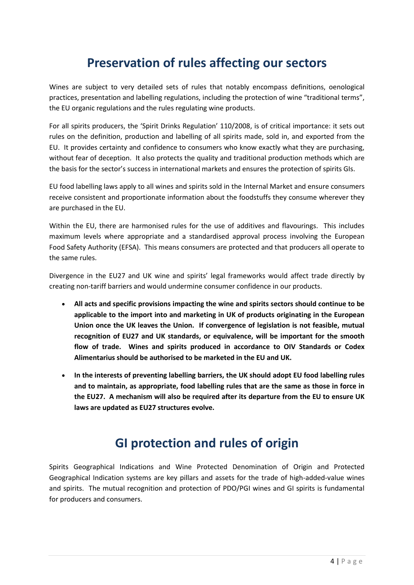# **Preservation of rules affecting our sectors**

Wines are subject to very detailed sets of rules that notably encompass definitions, oenological practices, presentation and labelling regulations, including the protection of wine "traditional terms", the EU organic regulations and the rules regulating wine products.

For all spirits producers, the 'Spirit Drinks Regulation' 110/2008, is of critical importance: it sets out rules on the definition, production and labelling of all spirits made, sold in, and exported from the EU. It provides certainty and confidence to consumers who know exactly what they are purchasing, without fear of deception. It also protects the quality and traditional production methods which are the basis for the sector's success in international markets and ensures the protection of spirits GIs.

EU food labelling laws apply to all wines and spirits sold in the Internal Market and ensure consumers receive consistent and proportionate information about the foodstuffs they consume wherever they are purchased in the EU.

Within the EU, there are harmonised rules for the use of additives and flavourings. This includes maximum levels where appropriate and a standardised approval process involving the European Food Safety Authority (EFSA). This means consumers are protected and that producers all operate to the same rules.

Divergence in the EU27 and UK wine and spirits' legal frameworks would affect trade directly by creating non-tariff barriers and would undermine consumer confidence in our products.

- **All acts and specific provisions impacting the wine and spirits sectors should continue to be applicable to the import into and marketing in UK of products originating in the European Union once the UK leaves the Union. If convergence of legislation is not feasible, mutual recognition of EU27 and UK standards, or equivalence, will be important for the smooth flow of trade. Wines and spirits produced in accordance to OIV Standards or Codex Alimentarius should be authorised to be marketed in the EU and UK.**
- **In the interests of preventing labelling barriers, the UK should adopt EU food labelling rules and to maintain, as appropriate, food labelling rules that are the same as those in force in the EU27. A mechanism will also be required after its departure from the EU to ensure UK laws are updated as EU27 structures evolve.**

#### **GI protection and rules of origin**

Spirits Geographical Indications and Wine Protected Denomination of Origin and Protected Geographical Indication systems are key pillars and assets for the trade of high-added-value wines and spirits. The mutual recognition and protection of PDO/PGI wines and GI spirits is fundamental for producers and consumers.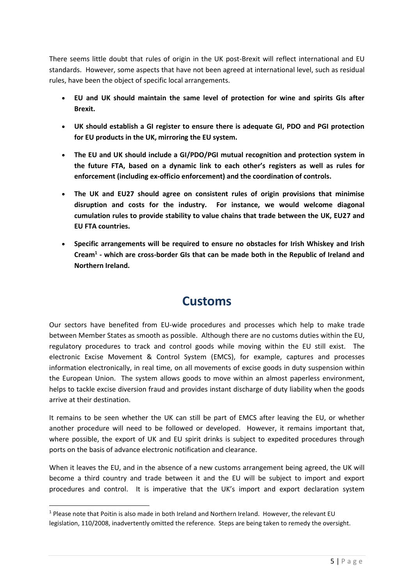There seems little doubt that rules of origin in the UK post-Brexit will reflect international and EU standards. However, some aspects that have not been agreed at international level, such as residual rules, have been the object of specific local arrangements.

- **EU and UK should maintain the same level of protection for wine and spirits GIs after Brexit.**
- **UK should establish a GI register to ensure there is adequate GI, PDO and PGI protection for EU products in the UK, mirroring the EU system.**
- **The EU and UK should include a GI/PDO/PGI mutual recognition and protection system in the future FTA, based on a dynamic link to each other's registers as well as rules for enforcement (including ex-officio enforcement) and the coordination of controls.**
- **The UK and EU27 should agree on consistent rules of origin provisions that minimise disruption and costs for the industry. For instance, we would welcome diagonal cumulation rules to provide stability to value chains that trade between the UK, EU27 and EU FTA countries.**
- **Specific arrangements will be required to ensure no obstacles for Irish Whiskey and Irish Cream<sup>1</sup> - which are cross-border GIs that can be made both in the Republic of Ireland and Northern Ireland.**

#### **Customs**

Our sectors have benefited from EU-wide procedures and processes which help to make trade between Member States as smooth as possible. Although there are no customs duties within the EU, regulatory procedures to track and control goods while moving within the EU still exist. The electronic Excise Movement & Control System (EMCS), for example, captures and processes information electronically, in real time, on all movements of excise goods in duty suspension within the European Union. The system allows goods to move within an almost paperless environment, helps to tackle excise diversion fraud and provides instant discharge of duty liability when the goods arrive at their destination.

It remains to be seen whether the UK can still be part of EMCS after leaving the EU, or whether another procedure will need to be followed or developed. However, it remains important that, where possible, the export of UK and EU spirit drinks is subject to expedited procedures through ports on the basis of advance electronic notification and clearance.

When it leaves the EU, and in the absence of a new customs arrangement being agreed, the UK will become a third country and trade between it and the EU will be subject to import and export procedures and control. It is imperative that the UK's import and export declaration system

**.** 

<sup>&</sup>lt;sup>1</sup> Please note that Poitin is also made in both Ireland and Northern Ireland. However, the relevant EU legislation, 110/2008, inadvertently omitted the reference. Steps are being taken to remedy the oversight.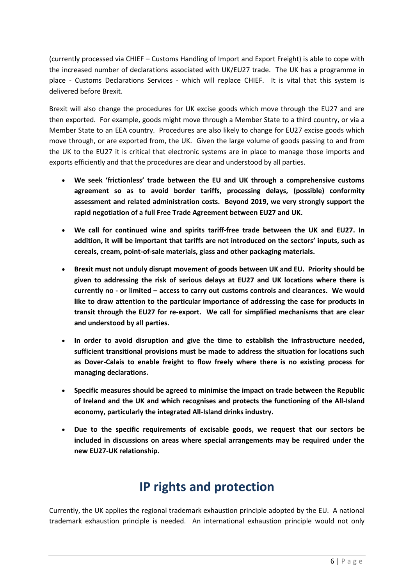(currently processed via CHIEF – Customs Handling of Import and Export Freight) is able to cope with the increased number of declarations associated with UK/EU27 trade. The UK has a programme in place - Customs Declarations Services - which will replace CHIEF. It is vital that this system is delivered before Brexit.

Brexit will also change the procedures for UK excise goods which move through the EU27 and are then exported. For example, goods might move through a Member State to a third country, or via a Member State to an EEA country. Procedures are also likely to change for EU27 excise goods which move through, or are exported from, the UK. Given the large volume of goods passing to and from the UK to the EU27 it is critical that electronic systems are in place to manage those imports and exports efficiently and that the procedures are clear and understood by all parties.

- **We seek 'frictionless' trade between the EU and UK through a comprehensive customs agreement so as to avoid border tariffs, processing delays, (possible) conformity assessment and related administration costs. Beyond 2019, we very strongly support the rapid negotiation of a full Free Trade Agreement between EU27 and UK.**
- **We call for continued wine and spirits tariff-free trade between the UK and EU27. In addition, it will be important that tariffs are not introduced on the sectors' inputs, such as cereals, cream, point-of-sale materials, glass and other packaging materials.**
- **Brexit must not unduly disrupt movement of goods between UK and EU. Priority should be given to addressing the risk of serious delays at EU27 and UK locations where there is currently no - or limited – access to carry out customs controls and clearances. We would like to draw attention to the particular importance of addressing the case for products in transit through the EU27 for re-export. We call for simplified mechanisms that are clear and understood by all parties.**
- **In order to avoid disruption and give the time to establish the infrastructure needed, sufficient transitional provisions must be made to address the situation for locations such as Dover-Calais to enable freight to flow freely where there is no existing process for managing declarations.**
- **Specific measures should be agreed to minimise the impact on trade between the Republic of Ireland and the UK and which recognises and protects the functioning of the All-Island economy, particularly the integrated All-Island drinks industry.**
- **Due to the specific requirements of excisable goods, we request that our sectors be included in discussions on areas where special arrangements may be required under the new EU27-UK relationship.**

# **IP rights and protection**

Currently, the UK applies the regional trademark exhaustion principle adopted by the EU. A national trademark exhaustion principle is needed. An international exhaustion principle would not only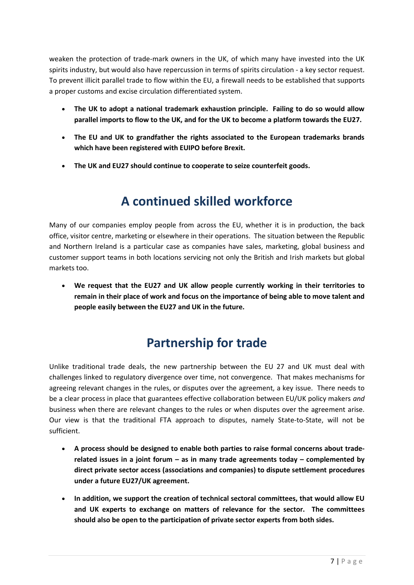weaken the protection of trade-mark owners in the UK, of which many have invested into the UK spirits industry, but would also have repercussion in terms of spirits circulation - a key sector request. To prevent illicit parallel trade to flow within the EU, a firewall needs to be established that supports a proper customs and excise circulation differentiated system.

- **The UK to adopt a national trademark exhaustion principle. Failing to do so would allow parallel imports to flow to the UK, and for the UK to become a platform towards the EU27.**
- **The EU and UK to grandfather the rights associated to the European trademarks brands which have been registered with EUIPO before Brexit.**
- **The UK and EU27 should continue to cooperate to seize counterfeit goods.**

# **A continued skilled workforce**

Many of our companies employ people from across the EU, whether it is in production, the back office, visitor centre, marketing or elsewhere in their operations. The situation between the Republic and Northern Ireland is a particular case as companies have sales, marketing, global business and customer support teams in both locations servicing not only the British and Irish markets but global markets too.

• **We request that the EU27 and UK allow people currently working in their territories to remain in their place of work and focus on the importance of being able to move talent and people easily between the EU27 and UK in the future.** 

# **Partnership for trade**

Unlike traditional trade deals, the new partnership between the EU 27 and UK must deal with challenges linked to regulatory divergence over time, not convergence. That makes mechanisms for agreeing relevant changes in the rules, or disputes over the agreement, a key issue. There needs to be a clear process in place that guarantees effective collaboration between EU/UK policy makers *and* business when there are relevant changes to the rules or when disputes over the agreement arise. Our view is that the traditional FTA approach to disputes, namely State-to-State, will not be sufficient.

- **A process should be designed to enable both parties to raise formal concerns about traderelated issues in a joint forum – as in many trade agreements today – complemented by direct private sector access (associations and companies) to dispute settlement procedures under a future EU27/UK agreement.**
- **In addition, we support the creation of technical sectoral committees, that would allow EU and UK experts to exchange on matters of relevance for the sector. The committees should also be open to the participation of private sector experts from both sides.**